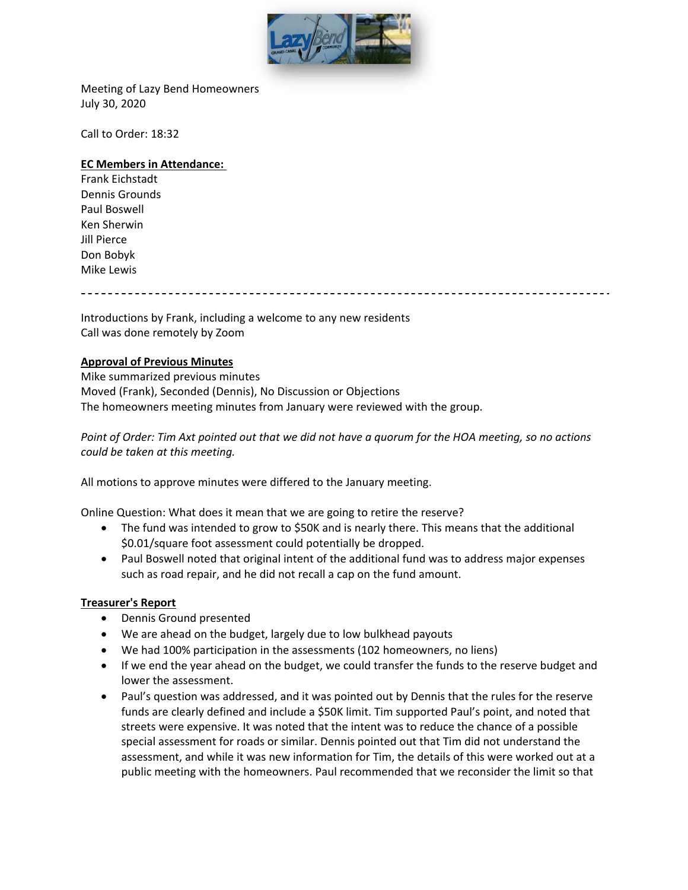

Meeting of Lazy Bend Homeowners July 30, 2020

Call to Order: 18:32

#### **EC Members in Attendance:**

Frank Eichstadt Dennis Grounds Paul Boswell Ken Sherwin Jill Pierce Don Bobyk Mike Lewis

Introductions by Frank, including a welcome to any new residents Call was done remotely by Zoom

### **Approval of Previous Minutes**

Mike summarized previous minutes Moved (Frank), Seconded (Dennis), No Discussion or Objections The homeowners meeting minutes from January were reviewed with the group.

*Point of Order: Tim Axt pointed out that we did not have a quorum for the HOA meeting, so no actions could be taken at this meeting.*

All motions to approve minutes were differed to the January meeting.

Online Question: What does it mean that we are going to retire the reserve?

- The fund was intended to grow to \$50K and is nearly there. This means that the additional \$0.01/square foot assessment could potentially be dropped.
- Paul Boswell noted that original intent of the additional fund was to address major expenses such as road repair, and he did not recall a cap on the fund amount.

#### **Treasurer's Report**

- Dennis Ground presented
- We are ahead on the budget, largely due to low bulkhead payouts
- We had 100% participation in the assessments (102 homeowners, no liens)
- If we end the year ahead on the budget, we could transfer the funds to the reserve budget and lower the assessment.
- Paul's question was addressed, and it was pointed out by Dennis that the rules for the reserve funds are clearly defined and include a \$50K limit. Tim supported Paul's point, and noted that streets were expensive. It was noted that the intent was to reduce the chance of a possible special assessment for roads or similar. Dennis pointed out that Tim did not understand the assessment, and while it was new information for Tim, the details of this were worked out at a public meeting with the homeowners. Paul recommended that we reconsider the limit so that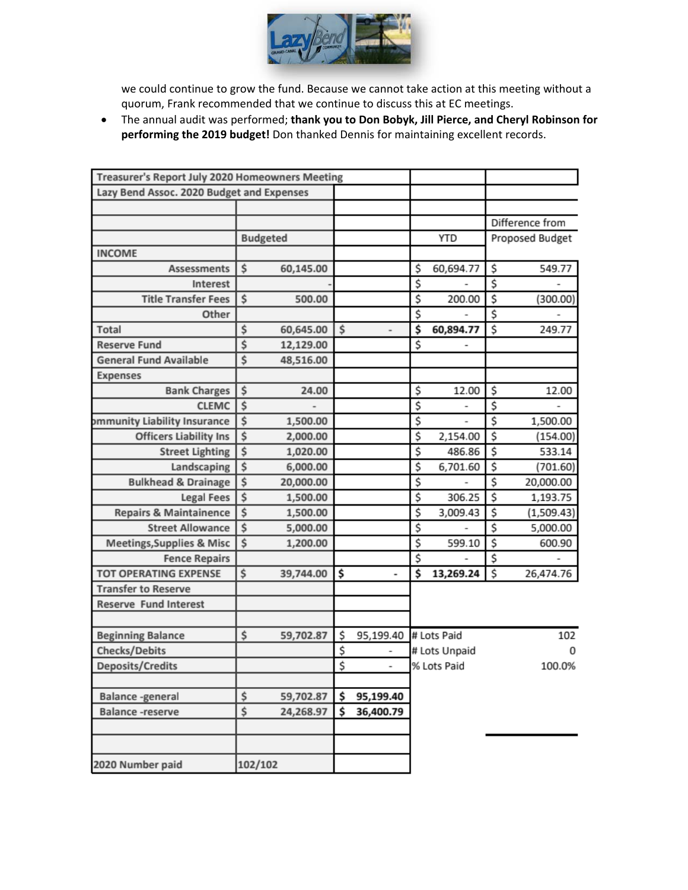

we could continue to grow the fund. Because we cannot take action at this meeting without a quorum, Frank recommended that we continue to discuss this at EC meetings.

 The annual audit was performed; **thank you to Don Bobyk, Jill Pierce, and Cheryl Robinson for performing the 2019 budget!** Don thanked Dennis for maintaining excellent records.

| Treasurer's Report July 2020 Homeowners Meeting |         |                 |    |           |                    |                       |    |                 |
|-------------------------------------------------|---------|-----------------|----|-----------|--------------------|-----------------------|----|-----------------|
| Lazy Bend Assoc. 2020 Budget and Expenses       |         |                 |    |           |                    |                       |    |                 |
|                                                 |         |                 |    |           |                    |                       |    |                 |
|                                                 |         |                 |    |           |                    |                       |    | Difference from |
|                                                 |         | <b>Budgeted</b> |    |           |                    | <b>YTD</b>            |    | Proposed Budget |
| <b>INCOME</b>                                   |         |                 |    |           |                    |                       |    |                 |
| <b>Assessments</b>                              | \$      | 60,145.00       |    |           | \$                 | 60,694.77             | \$ | 549.77          |
| Interest                                        |         |                 |    |           | \$                 |                       | \$ |                 |
| <b>Title Transfer Fees</b>                      | \$      | 500.00          |    |           | \$                 | 200.00                | \$ | (300.00)        |
| Other                                           |         |                 |    |           | \$                 |                       | \$ |                 |
| Total                                           | \$      | 60,645.00       | \$ |           | \$                 | 60,894.77             | \$ | 249.77          |
| <b>Reserve Fund</b>                             | \$      | 12,129.00       |    |           | \$                 |                       |    |                 |
| <b>General Fund Available</b>                   | \$      | 48,516.00       |    |           |                    |                       |    |                 |
| Expenses                                        |         |                 |    |           |                    |                       |    |                 |
| <b>Bank Charges</b>                             | \$      | 24.00           |    |           | \$                 | 12.00                 | \$ | 12.00           |
| <b>CLEMC</b>                                    | \$      |                 |    |           | \$                 |                       | \$ |                 |
| ommunity Liability Insurance                    | \$      | 1,500.00        |    |           | \$                 |                       | \$ | 1,500.00        |
| <b>Officers Liability Ins</b>                   | \$      | 2,000.00        |    |           | \$                 | 2,154.00              | \$ | (154.00)        |
| <b>Street Lighting</b>                          | \$      | 1,020.00        |    |           | \$                 | 486.86                | \$ | 533.14          |
| Landscaping                                     | \$      | 6,000.00        |    |           | \$                 | 6,701.60              | \$ | (701.60)        |
| <b>Bulkhead &amp; Drainage</b>                  | \$      | 20,000.00       |    |           | \$                 | -                     | \$ | 20,000.00       |
| <b>Legal Fees</b>                               | \$      | 1,500.00        |    |           | \$                 | 306.25                | \$ | 1,193.75        |
| <b>Repairs &amp; Maintainence</b>               | \$      | 1,500.00        |    |           | \$                 | 3,009.43              | \$ | (1,509.43)      |
| <b>Street Allowance</b>                         | \$      | 5,000.00        |    |           | \$                 |                       | \$ | 5,000.00        |
| <b>Meetings, Supplies &amp; Misc</b>            | \$      | 1,200.00        |    |           | \$                 | 599.10                | \$ | 600.90          |
| <b>Fence Repairs</b>                            |         |                 |    |           | \$                 |                       | \$ |                 |
| <b>TOT OPERATING EXPENSE</b>                    | \$      | 39,744.00       | \$ | -         | \$                 | 13,269.24             | \$ | 26,474.76       |
| <b>Transfer to Reserve</b>                      |         |                 |    |           |                    |                       |    |                 |
| <b>Reserve Fund Interest</b>                    |         |                 |    |           |                    |                       |    |                 |
|                                                 |         |                 |    |           |                    |                       |    |                 |
| <b>Beginning Balance</b>                        | \$      | 59,702.87       | \$ | 95,199.40 |                    | # Lots Paid           |    | 102             |
| Checks/Debits                                   |         |                 | \$ |           | # Lots Unpaid<br>0 |                       |    |                 |
| Deposits/Credits                                |         |                 | \$ | ۰         |                    | % Lots Paid<br>100.0% |    |                 |
|                                                 |         |                 |    |           |                    |                       |    |                 |
| Balance -general                                | \$      | 59,702.87       | \$ | 95,199.40 |                    |                       |    |                 |
| Balance -reserve                                | \$      | 24,268.97       | \$ | 36,400.79 |                    |                       |    |                 |
|                                                 |         |                 |    |           |                    |                       |    |                 |
|                                                 |         |                 |    |           |                    |                       |    |                 |
| 2020 Number paid                                | 102/102 |                 |    |           |                    |                       |    |                 |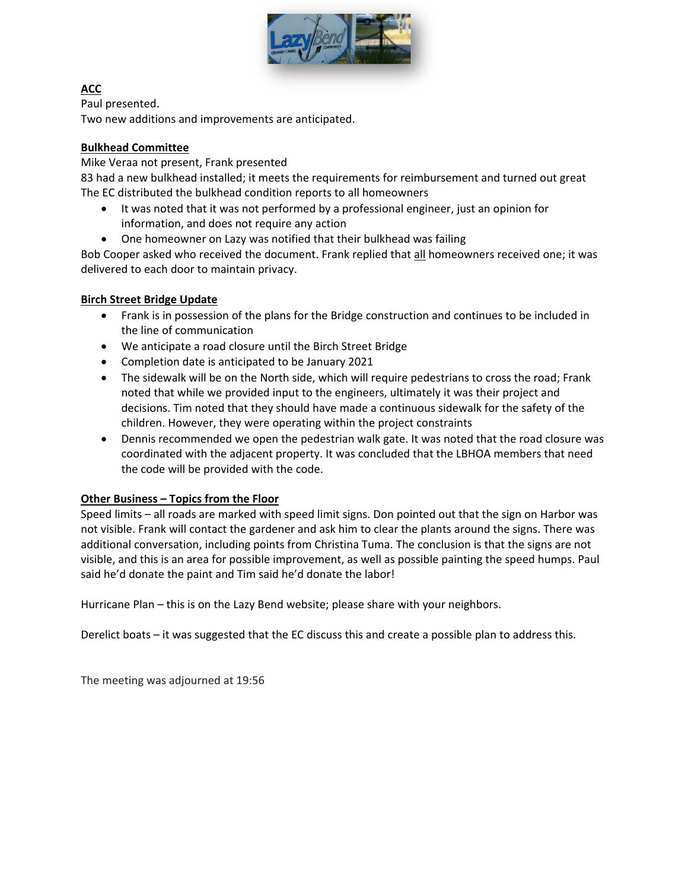

# **ACC**

Paul presented.

Two new additions and improvements are anticipated.

## **Bulkhead Committee**

Mike Veraa not present, Frank presented

83 had a new bulkhead installed; it meets the requirements for reimbursement and turned out great The EC distributed the bulkhead condition reports to all homeowners

- It was noted that it was not performed by a professional engineer, just an opinion for information, and does not require any action
- One homeowner on Lazy was notified that their bulkhead was failing

Bob Cooper asked who received the document. Frank replied that all homeowners received one; it was delivered to each door to maintain privacy.

## **Birch Street Bridge Update**

- Frank is in possession of the plans for the Bridge construction and continues to be included in the line of communication
- We anticipate a road closure until the Birch Street Bridge
- Completion date is anticipated to be January 2021
- The sidewalk will be on the North side, which will require pedestrians to cross the road; Frank noted that while we provided input to the engineers, ultimately it was their project and decisions. Tim noted that they should have made a continuous sidewalk for the safety of the children. However, they were operating within the project constraints
- Dennis recommended we open the pedestrian walk gate. It was noted that the road closure was coordinated with the adjacent property. It was concluded that the LBHOA members that need the code will be provided with the code.

# **Other Business – Topics from the Floor**

Speed limits – all roads are marked with speed limit signs. Don pointed out that the sign on Harbor was not visible. Frank will contact the gardener and ask him to clear the plants around the signs. There was additional conversation, including points from Christina Tuma. The conclusion is that the signs are not visible, and this is an area for possible improvement, as well as possible painting the speed humps. Paul said he'd donate the paint and Tim said he'd donate the labor!

Hurricane Plan – this is on the Lazy Bend website; please share with your neighbors.

Derelict boats – it was suggested that the EC discuss this and create a possible plan to address this.

The meeting was adjourned at 19:56